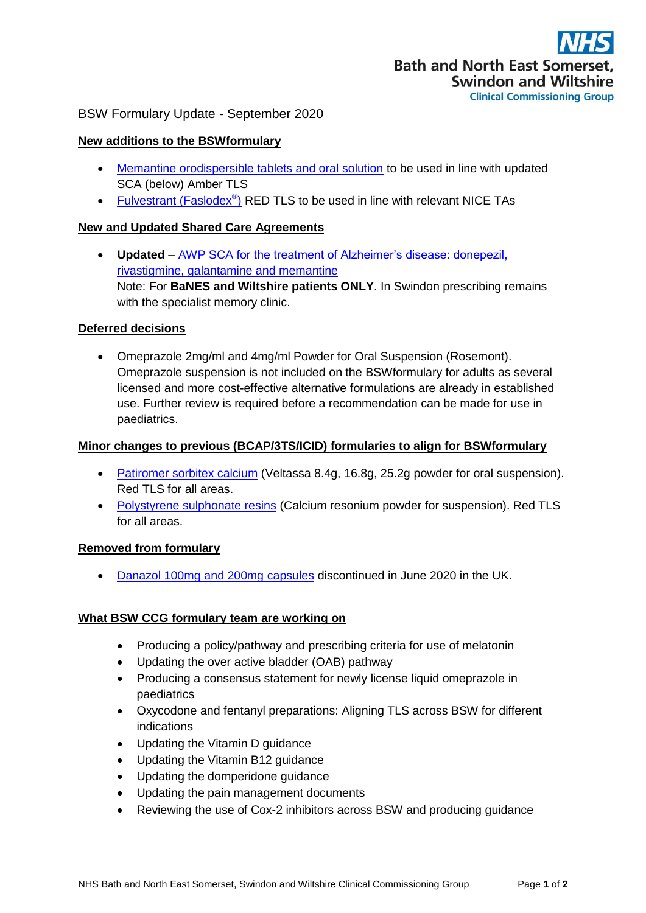# BSW Formulary Update - September 2020

## **New additions to the BSWformulary**

- [Memantine orodispersible tablets and oral solution](http://bswformulary.nhs.uk/chaptersSubDetails.asp?FormularySectionID=4&SubSectionRef=04.11&SubSectionID=A100&drugmatch=1711#1711) to be used in line with updated SCA (below) Amber TLS
- [Fulvestrant](http://bswformulary.nhs.uk/chaptersSubDetails.asp?FormularySectionID=8&SubSectionRef=08.03.04.01&SubSectionID=A100&drugmatch=2201#2201) (Faslodex<sup>®</sup>) RED TLS to be used in line with relevant NICE TAs

## **New and Updated Shared Care Agreements**

 **Updated** – AWP SCA [for the treatment of Alzheimer's disease: donepezil,](https://prescribing.bswccg.nhs.uk/?wpdmdl=6787)  [rivastigmine, galantamine and memantine](https://prescribing.bswccg.nhs.uk/?wpdmdl=6787) Note: For **BaNES and Wiltshire patients ONLY**. In Swindon prescribing remains with the specialist memory clinic.

#### **Deferred decisions**

 Omeprazole 2mg/ml and 4mg/ml Powder for Oral Suspension (Rosemont). Omeprazole suspension is not included on the BSWformulary for adults as several licensed and more cost-effective alternative formulations are already in established use. Further review is required before a recommendation can be made for use in paediatrics.

#### **Minor changes to previous (BCAP/3TS/ICID) formularies to align for BSWformulary**

- [Patiromer sorbitex calcium](http://bswformulary.nhs.uk/chaptersSubDetails.asp?FormularySectionID=9&SubSectionRef=09.02.01.01&SubSectionID=B100&drugmatch=5625#5625) (Veltassa 8.4g, 16.8g, 25.2g powder for oral suspension). Red TLS for all areas.
- [Polystyrene sulphonate resins](http://bswformulary.nhs.uk/chaptersSubDetails.asp?FormularySectionID=9&SubSectionRef=09.02.01.01&SubSectionID=B100&drugmatch=5625#5625) (Calcium resonium powder for suspension). Red TLS for all areas.

## **Removed from formulary**

[Danazol 100mg and 200mg capsules](http://bswformulary.nhs.uk/chaptersSubDetails.asp?FormularySectionID=6&SubSectionRef=06.07.02&SubSectionID=B100&drugmatch=606#606) discontinued in June 2020 in the UK.

## **What BSW CCG formulary team are working on**

- Producing a policy/pathway and prescribing criteria for use of melatonin
- Updating the over active bladder (OAB) pathway
- Producing a consensus statement for newly license liquid omeprazole in paediatrics
- Oxycodone and fentanyl preparations: Aligning TLS across BSW for different indications
- Updating the Vitamin D guidance
- Updating the Vitamin B12 guidance
- Updating the domperidone guidance
- Updating the pain management documents
- Reviewing the use of Cox-2 inhibitors across BSW and producing guidance